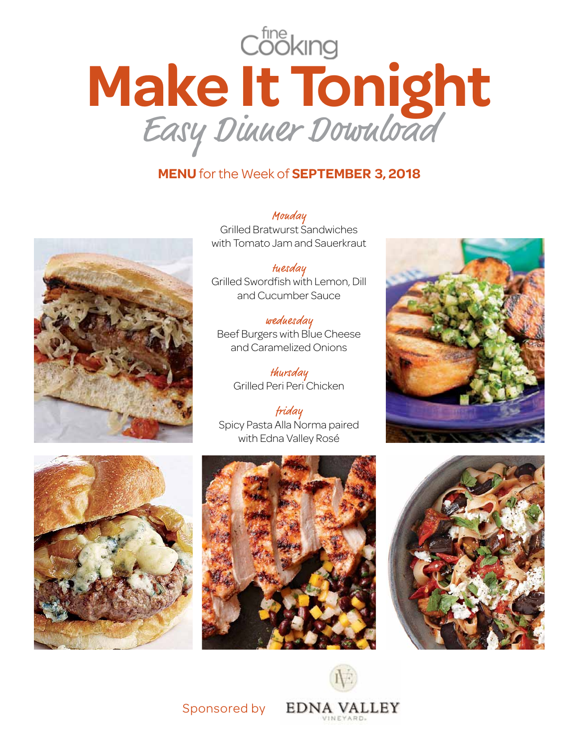

## **Menu** for the Week of **September 3, 2018**



Mouday Grilled Bratwurst Sandwiches with Tomato Jam and Sauerkraut

tuesday Grilled Swordfish with Lemon, Dill and Cucumber Sauce

wednesday Beef Burgers with Blue Cheese and Caramelized Onions

> thursday Grilled Peri Peri Chicken

friday Spicy Pasta Alla Norma paired with Edna Valley Rosé











Sponsored by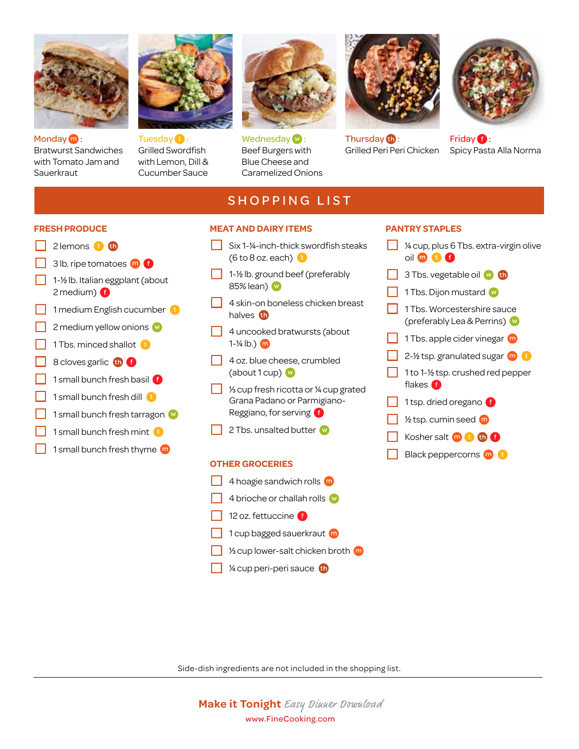

Monday **m**: Bratwurst Sandwiches with Tomato Jam and **Sauerkraut** 

**Fresh Produce**  $\Box$  2 lemons  $\Box$   $\Box$ 

 $\Box$  3 lb. ripe tomatoes  $\Box$  6  $\Box$  1-1/<sub>2</sub> lb. Italian eggplant (about

1 Tbs. minced shallot  $\ddot{\mathbf{t}}$ 8 cloves garlic **the G** 

1 medium English cucumber 2 medium yellow onions w

1 small bunch fresh basil **G** 1 small bunch fresh dill **the** 

1 small bunch fresh tarragon 1 small bunch fresh mint **C** 1 small bunch fresh thyme  $\bf{m}$ 

2 medium) **O** 



Tuesday **D**: Grilled Swordfish with Lemon, Dill & Cucumber Sauce



 $We$ dnesday $\mathbf{w}$ : Beef Burgers with Blue Cheese and Caramelized Onions



Thursday **th**: Grilled Peri Peri Chicken



Friday **O**: Spicy Pasta Alla Norma

## **SHOPPING LIST**

## **Meat and Dairy Items**

- $\Box$  Six 1-1/4-inch-thick swordfish steaks (6 to 8 oz. each)  $\mathbf{t}$
- $\Box$  1-1/2 lb. ground beef (preferably 85% lean) @
- $\Box$  4 skin-on boneless chicken breast halves **th**
- $\Box$  4 uncooked bratwursts (about 1- $\frac{1}{4}$  lb.)  $\omega$
- 4 oz. blue cheese, crumbled (about 1 cup) w
- $\sqrt{1/3}$  cup fresh ricotta or  $\frac{1}{4}$  cup grated Grana Padano or Parmigiano-Reggiano, for serving
- 2 Tbs. unsalted butter

## **Other Groceries**

- 4 hoagie sandwich rolls (m)
- 4 brioche or challah rolls
- $\overline{\phantom{a}}$  12 oz. fettuccine  $\overline{\phantom{a}}$
- 1 cup bagged sauerkraut m
- 1/3 cup lower-salt chicken broth
- $1/4$  cup peri-peri sauce  $1/4$

## **Pantry Staples**

- $1/4$  cup, plus 6 Tbs. extra-virgin olive oil **to 0 0**
- $\Box$  3 Tbs. vegetable oil  $\Box$   $\Box$ 
	- 1 Tbs. Dijon mustard
- 1 Tbs. Worcestershire sauce (preferably Lea & Perrins)
- 1 Tbs. apple cider vinegar  $\blacksquare$
- $\Box$  2-1/2 tsp. granulated sugar  $\Box$
- 1 to 1- $1/2$  tsp. crushed red pepper flakes **O**
- 1 tsp. dried oregano f
- $\frac{1}{2}$  tsp. cumin seed  $\frac{1}{2}$
- Kosher salt
- Black peppercorns **m**

Side-dish ingredients are not included in the shopping list.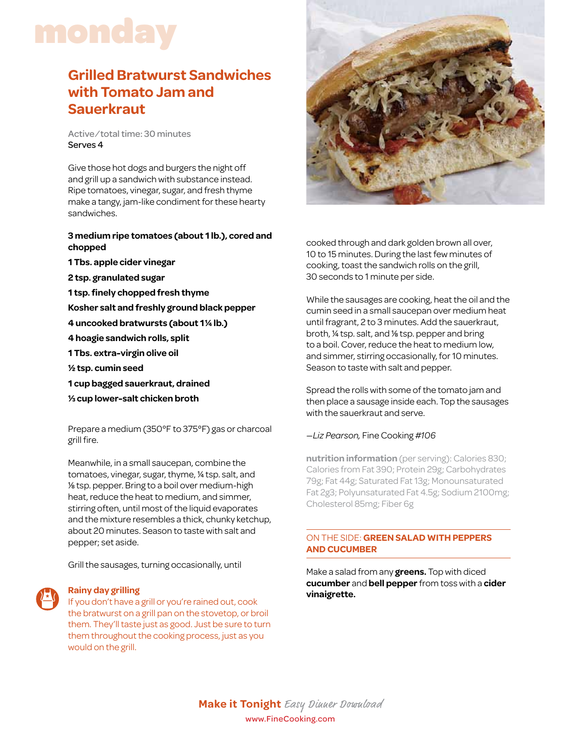# monday

## **Grilled Bratwurst Sandwiches with Tomato Jam and Sauerkraut**

Active/total time: 30 minutes Serves 4

Give those hot dogs and burgers the night off and grill up a sandwich with substance instead. Ripe tomatoes, vinegar, sugar, and fresh thyme make a tangy, jam-like condiment for these hearty sandwiches.

## **3 medium ripe tomatoes (about 1 lb.), cored and chopped**

- **1 Tbs. apple cider vinegar**
- **2 tsp. granulated sugar**
- **1 tsp. finely chopped fresh thyme**
- **Kosher salt and freshly ground black pepper**
- **4 uncooked bratwursts (about 11/4 lb.)**
- **4 hoagie sandwich rolls, split**
- **1 Tbs. extra-virgin olive oil**
- **1/2 tsp. cumin seed**
- **1 cup bagged sauerkraut, drained**
- **1/3 cup lower-salt chicken broth**

Prepare a medium (350°F to 375°F) gas or charcoal grill fire.

Meanwhile, in a small saucepan, combine the tomatoes, vinegar, sugar, thyme, 1/4 tsp. salt, and 1/8 tsp. pepper. Bring to a boil over medium-high heat, reduce the heat to medium, and simmer, stirring often, until most of the liquid evaporates and the mixture resembles a thick, chunky ketchup, about 20 minutes. Season to taste with salt and pepper; set aside.

Grill the sausages, turning occasionally, until

## **vinaigrette. Rainy day grilling**

If you don't have a grill or you're rained out, cook the bratwurst on a grill pan on the stovetop, or broil them. They'll taste just as good. Just be sure to turn them throughout the cooking process, just as you would on the grill.



cooked through and dark golden brown all over, 10 to 15 minutes. During the last few minutes of cooking, toast the sandwich rolls on the grill, 30 seconds to 1 minute per side.

While the sausages are cooking, heat the oil and the cumin seed in a small saucepan over medium heat until fragrant, 2 to 3 minutes. Add the sauerkraut, broth, 1/4 tsp. salt, and 1/8 tsp. pepper and bring to a boil. Cover, reduce the heat to medium low, and simmer, stirring occasionally, for 10 minutes. Season to taste with salt and pepper.

Spread the rolls with some of the tomato jam and then place a sausage inside each. Top the sausages with the sauerkraut and serve.

### *—Liz Pearson,* Fine Cooking *#106*

**nutrition information** (per serving): Calories 830; Calories from Fat 390; Protein 29g; Carbohydrates 79g; Fat 44g; Saturated Fat 13g; Monounsaturated Fat 2g3; Polyunsaturated Fat 4.5g; Sodium 2100mg; Cholesterol 85mg; Fiber 6g

## on the side: **Green salad with peppers and cucumber**

Make a salad from any **greens.** Top with diced **cucumber** and **bell pepper** from toss with a **cider**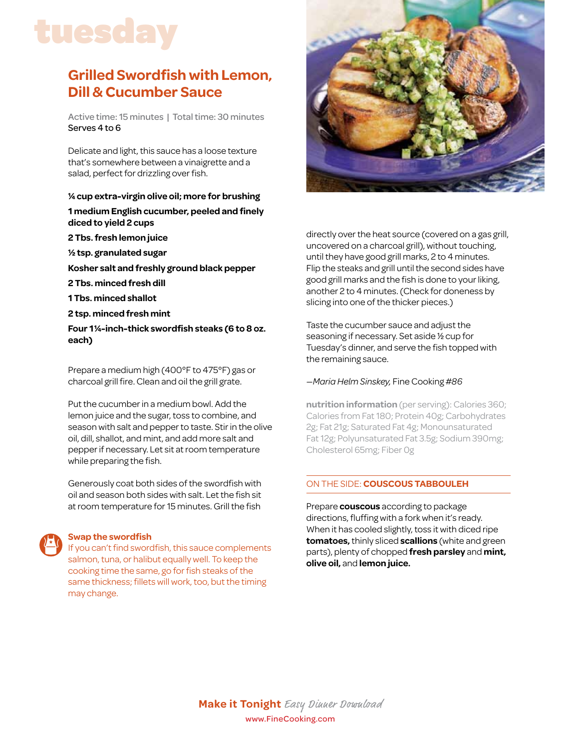# tuesday

## **Grilled Swordfish with Lemon, Dill & Cucumber Sauce**

Active time: 15 minutes | Total time: 30 minutes Serves 4 to 6

Delicate and light, this sauce has a loose texture that's somewhere between a vinaigrette and a salad, perfect for drizzling over fish.

## **1/4 cup extra-virgin olive oil; more for brushing 1 medium English cucumber, peeled and finely diced to yield 2 cups**

- **2 Tbs. fresh lemon juice**
- **1/2 tsp. granulated sugar**
- **Kosher salt and freshly ground black pepper**
- **2 Tbs. minced fresh dill**
- **1 Tbs. minced shallot**
- **2 tsp. minced fresh mint**

**Four 11/4-inch-thick swordfish steaks (6 to 8 oz. each)**

Prepare a medium high (400°F to 475°F) gas or charcoal grill fire. Clean and oil the grill grate.

Put the cucumber in a medium bowl. Add the lemon juice and the sugar, toss to combine, and season with salt and pepper to taste. Stir in the olive oil, dill, shallot, and mint, and add more salt and pepper if necessary. Let sit at room temperature while preparing the fish.

Generously coat both sides of the swordfish with oil and season both sides with salt. Let the fish sit at room temperature for 15 minutes. Grill the fish

## **Swap the swordfish**

If you can't find swordfish, this sauce complements salmon, tuna, or halibut equally well. To keep the cooking time the same, go for fish steaks of the same thickness; fillets will work, too, but the timing may change.



directly over the heat source (covered on a gas grill, uncovered on a charcoal grill), without touching, until they have good grill marks, 2 to 4 minutes. Flip the steaks and grill until the second sides have good grill marks and the fish is done to your liking, another 2 to 4 minutes. (Check for doneness by slicing into one of the thicker pieces.)

Taste the cucumber sauce and adjust the seasoning if necessary. Set aside 1/2 cup for Tuesday's dinner, and serve the fish topped with the remaining sauce.

## *—Maria Helm Sinskey,* Fine Cooking *#86*

**nutrition information** (per serving): Calories 360; Calories from Fat 180; Protein 40g; Carbohydrates 2g; Fat 21g; Saturated Fat 4g; Monounsaturated Fat 12g; Polyunsaturated Fat 3.5g; Sodium 390mg; Cholesterol 65mg; Fiber 0g

## on the side: **Couscous Tabbouleh**

Prepare **couscous** according to package directions, fluffing with a fork when it's ready. When it has cooled slightly, toss it with diced ripe **tomatoes,** thinly sliced **scallions** (white and green parts), plenty of chopped **fresh parsley** and **mint, olive oil,** and **lemon juice.**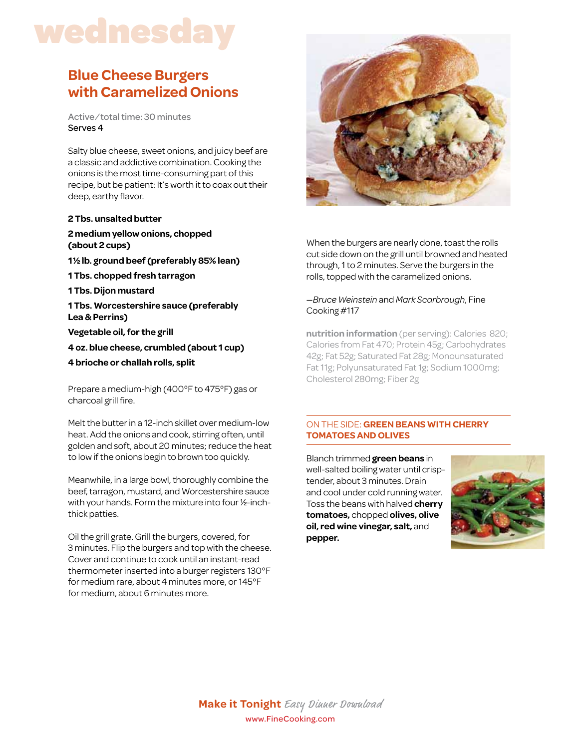## wednesday

## **Blue Cheese Burgers with Caramelized Onions**

Active/total time: 30 minutes Serves 4

Salty blue cheese, sweet onions, and juicy beef are a classic and addictive combination. Cooking the onions is the most time-consuming part of this recipe, but be patient: It's worth it to coax out their deep, earthy flavor.

#### **2 Tbs. unsalted butter**

## **2 medium yellow onions, chopped (about 2 cups)**

- **11/2 lb. ground beef (preferably 85% lean)**
- **1 Tbs. chopped fresh tarragon**
- **1 Tbs. Dijon mustard**
- **1 Tbs. Worcestershire sauce (preferably Lea & Perrins)**
- **Vegetable oil, for the grill**
- **4 oz. blue cheese, crumbled (about 1 cup)**
- **4 brioche or challah rolls, split**

Prepare a medium-high (400°F to 475°F) gas or charcoal grill fire.

Melt the butter in a 12-inch skillet over medium-low heat. Add the onions and cook, stirring often, until golden and soft, about 20 minutes; reduce the heat to low if the onions begin to brown too quickly.

Meanwhile, in a large bowl, thoroughly combine the beef, tarragon, mustard, and Worcestershire sauce with your hands. Form the mixture into four 1/2-inchthick patties.

Oil the grill grate. Grill the burgers, covered, for 3 minutes. Flip the burgers and top with the cheese. Cover and continue to cook until an instant-read thermometer inserted into a burger registers 130°F for medium rare, about 4 minutes more, or 145°F for medium, about 6 minutes more.



When the burgers are nearly done, toast the rolls cut side down on the grill until browned and heated through, 1 to 2 minutes. Serve the burgers in the rolls, topped with the caramelized onions.

## —*Bruce Weinstein* and *Mark Scarbrough*, Fine Cooking #117

**nutrition information** (per serving): Calories 820; Calories from Fat 470; Protein 45g; Carbohydrates 42g; Fat 52g; Saturated Fat 28g; Monounsaturated Fat 11g; Polyunsaturated Fat 1g; Sodium 1000mg; Cholesterol 280mg; Fiber 2g

## on the side: **green beans with cherry tomatoes and olives**

Blanch trimmed **green beans** in well-salted boiling water until crisptender, about 3 minutes. Drain and cool under cold running water. Toss the beans with halved **cherry tomatoes,** chopped **olives, olive oil, red wine vinegar, salt,** and **pepper.**

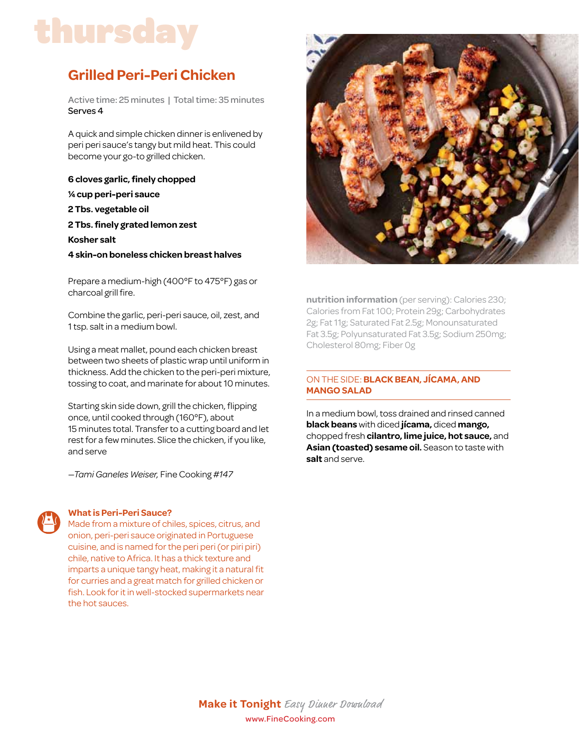# thursday

## **Grilled Peri-Peri Chicken**

Active time: 25 minutes | Total time: 35 minutes Serves 4

A quick and simple chicken dinner is enlivened by peri peri sauce's tangy but mild heat. This could become your go-to grilled chicken.

**6 cloves garlic, finely chopped 1/4 cup peri-peri sauce 2 Tbs. vegetable oil 2 Tbs. finely grated lemon zest Kosher salt 4 skin-on boneless chicken breast halves**

Prepare a medium-high (400°F to 475°F) gas or charcoal grill fire.

Combine the garlic, peri-peri sauce, oil, zest, and 1 tsp. salt in a medium bowl.

Using a meat mallet, pound each chicken breast between two sheets of plastic wrap until uniform in thickness. Add the chicken to the peri-peri mixture, tossing to coat, and marinate for about 10 minutes.

Starting skin side down, grill the chicken, flipping once, until cooked through (160°F), about 15 minutes total. Transfer to a cutting board and let rest for a few minutes. Slice the chicken, if you like, and serve

*—Tami Ganeles Weiser,* Fine Cooking #*147*

## **What is Peri-Peri Sauce?**

Made from a mixture of chiles, spices, citrus, and onion, peri-peri sauce originated in Portuguese cuisine, and is named for the peri peri (or piri piri) chile, native to Africa. It has a thick texture and imparts a unique tangy heat, making it a natural fit for curries and a great match for grilled chicken or fish. Look for it in well-stocked supermarkets near the hot sauces.



**nutrition information** (per serving): Calories 230; Calories from Fat 100; Protein 29g; Carbohydrates 2g; Fat 11g; Saturated Fat 2.5g; Monounsaturated Fat 3.5g; Polyunsaturated Fat 3.5g; Sodium 250mg; Cholesterol 80mg; Fiber 0g

## on the side: **black bean, JícamA, and mango Salad**

In a medium bowl, toss drained and rinsed canned **black beans** with diced **jícama,** diced **mango,** chopped fresh **cilantro, lime juice, hot sauce,** and **Asian (toasted) sesame oil.** Season to taste with **salt** and serve.